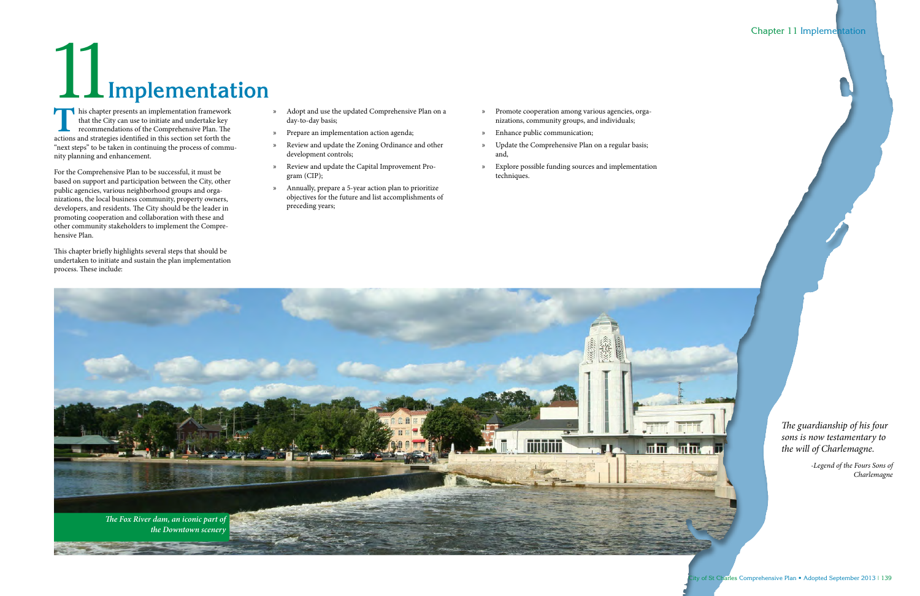**T** his chapter presents an implementation framework that the City can use to initiate and undertake key recommendations of the Comprehensive Plan. The actions and strategies identified in this section set forth the "next steps" to be taken in continuing the process of community planning and enhancement.

For the Comprehensive Plan to be successful, it must be based on support and participation between the City, other public agencies, various neighborhood groups and organizations, the local business community, property owners, developers, and residents. The City should be the leader in promoting cooperation and collaboration with these and other community stakeholders to implement the Comprehensive Plan.

This chapter briefly highlights several steps that should be undertaken to initiate and sustain the plan implementation process. These include:

- » Adopt and use the updated Comprehensive Plan on a day-to-day basis;
- » Prepare an implementation action agenda;
- » Review and update the Zoning Ordinance and other development controls;
- » Review and update the Capital Improvement Program (CIP);
- » Annually, prepare a 5-year action plan to prioritize objectives for the future and list accomplishments of preceding years;
- » Promote cooperation among various agencies, organizations, community groups, and individuals;
- » Enhance public communication;
- » Update the Comprehensive Plan on a regular basis; and,
- » Explore possible funding sources and implementation techniques.



## Chapter 11 Implementation

*The guardianship of his four sons is now testamentary to the will of Charlemagne.*

> *-Legend of the Fours Sons of Charlemagne*

# 11**Implementation**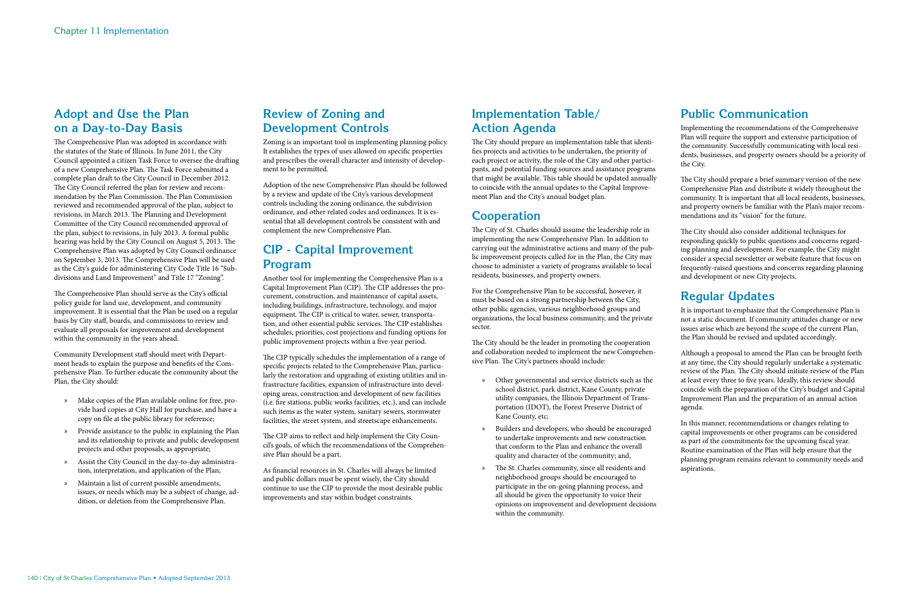# **Adopt and Use the Plan on a Day-to-Day Basis**

The Comprehensive Plan was adopted in accordance with the statutes of the State of Illinois. In June 2011, the City Council appointed a citizen Task Force to oversee the drafting of a new Comprehensive Plan. The Task Force submitted a complete plan draft to the City Council in December 2012. The City Council referred the plan for review and recommendation by the Plan Commission. The Plan Commission reviewed and recommended approval of the plan, subject to revisions, in March 2013. The Planning and Development Committee of the City Council recommended approval of the plan, subject to revisions, in July 2013. A formal public hearing was held by the City Council on August 5, 2013. The Comprehensive Plan was adopted by City Council ordinance on September 3, 2013. The Comprehensive Plan will be used as the City's guide for administering City Code Title 16 "Subdivisions and Land Improvement" and Title 17 "Zoning".

The Comprehensive Plan should serve as the City's official policy guide for land use, development, and community improvement. It is essential that the Plan be used on a regular basis by City staff, boards, and commissions to review and evaluate all proposals for improvement and development within the community in the years ahead.

Community Development staff should meet with Department heads to explain the purpose and benefits of the Comprehensive Plan. To further educate the community about the Plan, the City should:

- » Make copies of the Plan available online for free, provide hard copies at City Hall for purchase, and have a copy on file at the public library for reference;
- » Provide assistance to the public in explaining the Plan and its relationship to private and public development projects and other proposals, as appropriate;
- » Assist the City Council in the day-to-day administration, interpretation, and application of the Plan;
- » Maintain a list of current possible amendments, issues, or needs which may be a subject of change, addition, or deletion from the Comprehensive Plan.

# **Review of Zoning and Development Controls**

Zoning is an important tool in implementing planning policy. It establishes the types of uses allowed on specific properties and prescribes the overall character and intensity of development to be permitted.

Adoption of the new Comprehensive Plan should be followed by a review and update of the City's various development controls including the zoning ordinance, the subdivision ordinance, and other related codes and ordinances. It is essential that all development controls be consistent with and complement the new Comprehensive Plan.

# **CIP - Capital Improvement Program**

Another tool for implementing the Comprehensive Plan is a Capital Improvement Plan (CIP). The CIP addresses the procurement, construction, and maintenance of capital assets, including buildings, infrastructure, technology, and major equipment. The CIP is critical to water, sewer, transportation, and other essential public services. The CIP establishes schedules, priorities, cost projections and funding options for public improvement projects within a five-year period.

The CIP typically schedules the implementation of a range of specific projects related to the Comprehensive Plan, particularly the restoration and upgrading of existing utilities and infrastructure facilities, expansion of infrastructure into developing areas, construction and development of new facilities (i.e. fire stations, public works facilities, etc.), and can include such items as the water system, sanitary sewers, stormwater facilities, the street system, and streetscape enhancements.

The CIP aims to reflect and help implement the City Council's goals, of which the recommendations of the Comprehensive Plan should be a part.

As financial resources in St. Charles will always be limited and public dollars must be spent wisely, the City should continue to use the CIP to provide the most desirable public improvements and stay within budget constraints.

# **Implementation Table/ Action Agenda**

The City should prepare an implementation table that identifies projects and activities to be undertaken, the priority of each project or activity, the role of the City and other participants, and potential funding sources and assistance programs that might be available. This table should be updated annually to coincide with the annual updates to the Capital Improvement Plan and the City's annual budget plan.

# **Cooperation**

The City of St. Charles should assume the leadership role in implementing the new Comprehensive Plan. In addition to carrying out the administrative actions and many of the public improvement projects called for in the Plan, the City may choose to administer a variety of programs available to local residents, businesses, and property owners.

For the Comprehensive Plan to be successful, however, it must be based on a strong partnership between the City, other public agencies, various neighborhood groups and organizations, the local business community, and the private sector.

The City should be the leader in promoting the cooperation and collaboration needed to implement the new Comprehensive Plan. The City's partners should include:

- » Other governmental and service districts such as the school district, park district, Kane County, private utility companies, the Illinois Department of Transportation (IDOT), the Forest Preserve District of Kane County, etc;
- » Builders and developers, who should be encouraged to undertake improvements and new construction that conform to the Plan and enhance the overall quality and character of the community; and,
- » The St. Charles community, since all residents and neighborhood groups should be encouraged to participate in the on-going planning process, and all should be given the opportunity to voice their opinions on improvement and development decisions within the community.

# **Public Communication**

Implementing the recommendations of the Comprehensive Plan will require the support and extensive participation of the community. Successfully communicating with local residents, businesses, and property owners should be a priority of the City.

The City should prepare a brief summary version of the new Comprehensive Plan and distribute it widely throughout the community. It is important that all local residents, businesses, and property owners be familiar with the Plan's major recommendations and its "vision" for the future.

The City should also consider additional techniques for responding quickly to public questions and concerns regarding planning and development. For example, the City might consider a special newsletter or website feature that focus on frequently-raised questions and concerns regarding planning and development or new City projects.

# **Regular Updates**

It is important to emphasize that the Comprehensive Plan is not a static document. If community attitudes change or new issues arise which are beyond the scope of the current Plan, the Plan should be revised and updated accordingly.

Although a proposal to amend the Plan can be brought forth at any time, the City should regularly undertake a systematic review of the Plan. The City should initiate review of the Plan at least every three to five years. Ideally, this review should coincide with the preparation of the City's budget and Capital Improvement Plan and the preparation of an annual action agenda.

In this manner, recommendations or changes relating to capital improvements or other programs can be considered as part of the commitments for the upcoming fiscal year. Routine examination of the Plan will help ensure that the planning program remains relevant to community needs and aspirations.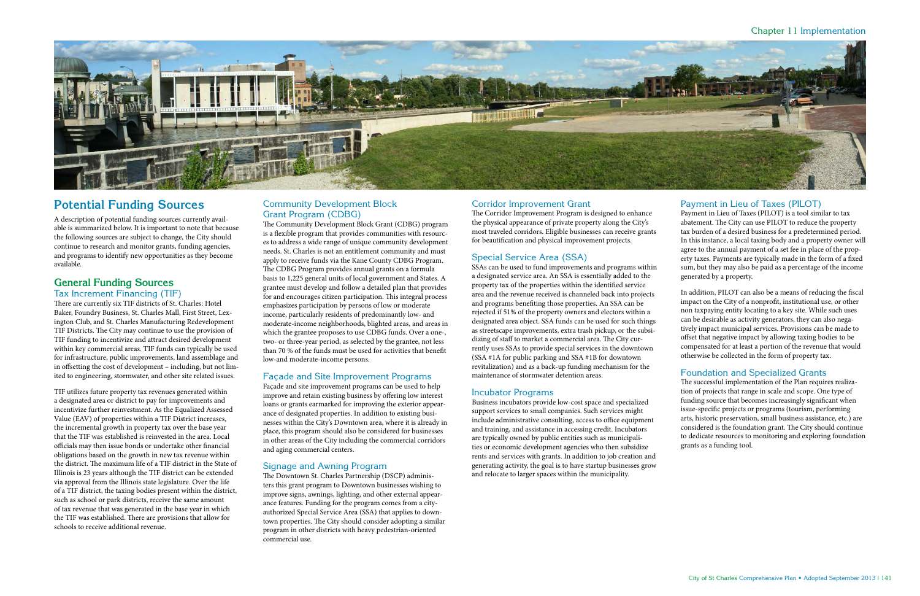

# **Potential Funding Sources**

A description of potential funding sources currently available is summarized below. It is important to note that because the following sources are subject to change, the City should continue to research and monitor grants, funding agencies, and programs to identify new opportunities as they become available.

## **General Funding Sources**

Tax Increment Financing (TIF)

There are currently six TIF districts of St. Charles: Hotel Baker, Foundry Business, St. Charles Mall, First Street, Lexington Club, and St. Charles Manufacturing Redevelopment TIF Districts. The City may continue to use the provision of TIF funding to incentivize and attract desired development within key commercial areas. TIF funds can typically be used for infrastructure, public improvements, land assemblage and in offsetting the cost of development – including, but not limited to engineering, stormwater, and other site related issues.

TIF utilizes future property tax revenues generated within a designated area or district to pay for improvements and incentivize further reinvestment. As the Equalized Assessed Value (EAV) of properties within a TIF District increases, the incremental growth in property tax over the base year that the TIF was established is reinvested in the area. Local officials may then issue bonds or undertake other financial obligations based on the growth in new tax revenue within the district. The maximum life of a TIF district in the State of Illinois is 23 years although the TIF district can be extended via approval from the Illinois state legislature. Over the life of a TIF district, the taxing bodies present within the district, such as school or park districts, receive the same amount of tax revenue that was generated in the base year in which the TIF was established. There are provisions that allow for schools to receive additional revenue.

## Community Development Block Grant Program (CDBG)

The Community Development Block Grant (CDBG) program is a flexible program that provides communities with resources to address a wide range of unique community development needs. St. Charles is not an entitlement community and must apply to receive funds via the Kane County CDBG Program. The CDBG Program provides annual grants on a formula basis to 1,225 general units of local government and States. A grantee must develop and follow a detailed plan that provides for and encourages citizen participation. This integral process emphasizes participation by persons of low or moderate income, particularly residents of predominantly low- and moderate-income neighborhoods, blighted areas, and areas in which the grantee proposes to use CDBG funds. Over a one-, two- or three-year period, as selected by the grantee, not less than 70 % of the funds must be used for activities that benefit low-and moderate-income persons.

#### Façade and Site Improvement Programs

Façade and site improvement programs can be used to help improve and retain existing business by offering low interest loans or grants earmarked for improving the exterior appearance of designated properties. In addition to existing businesses within the City's Downtown area, where it is already in place, this program should also be considered for businesses in other areas of the City including the commercial corridors and aging commercial centers.

#### Signage and Awning Program

The Downtown St. Charles Partnership (DSCP) administers this grant program to Downtown businesses wishing to improve signs, awnings, lighting, and other external appearance features. Funding for the program comes from a cityauthorized Special Service Area (SSA) that applies to downtown properties. The City should consider adopting a similar program in other districts with heavy pedestrian-oriented commercial use.

## Corridor Improvement Grant

The Corridor Improvement Program is designed to enhance the physical appearance of private property along the City's most traveled corridors. Eligible businesses can receive grants for beautification and physical improvement projects.

## Special Service Area (SSA)

SSAs can be used to fund improvements and programs within a designated service area. An SSA is essentially added to the property tax of the properties within the identified service area and the revenue received is channeled back into projects and programs benefiting those properties. An SSA can be rejected if 51% of the property owners and electors within a designated area object. SSA funds can be used for such things as streetscape improvements, extra trash pickup, or the subsidizing of staff to market a commercial area. The City currently uses SSAs to provide special services in the downtown (SSA #1A for public parking and SSA #1B for downtown revitalization) and as a back-up funding mechanism for the maintenance of stormwater detention areas.

#### Incubator Programs

Business incubators provide low-cost space and specialized support services to small companies. Such services might include administrative consulting, access to office equipment and training, and assistance in accessing credit. Incubators are typically owned by public entities such as municipalities or economic development agencies who then subsidize rents and services with grants. In addition to job creation and generating activity, the goal is to have startup businesses grow and relocate to larger spaces within the municipality.

#### Payment in Lieu of Taxes (PILOT)

Payment in Lieu of Taxes (PILOT) is a tool similar to tax abatement. The City can use PILOT to reduce the property tax burden of a desired business for a predetermined period. In this instance, a local taxing body and a property owner will agree to the annual payment of a set fee in place of the property taxes. Payments are typically made in the form of a fixed sum, but they may also be paid as a percentage of the income generated by a property.

In addition, PILOT can also be a means of reducing the fiscal impact on the City of a nonprofit, institutional use, or other non taxpaying entity locating to a key site. While such uses can be desirable as activity generators, they can also negatively impact municipal services. Provisions can be made to offset that negative impact by allowing taxing bodies to be compensated for at least a portion of the revenue that would otherwise be collected in the form of property tax.

#### Foundation and Specialized Grants

The successful implementation of the Plan requires realization of projects that range in scale and scope. One type of funding source that becomes increasingly significant when issue-specific projects or programs (tourism, performing arts, historic preservation, small business assistance, etc.) are considered is the foundation grant. The City should continue to dedicate resources to monitoring and exploring foundation grants as a funding tool.

#### Chapter 11 Implementation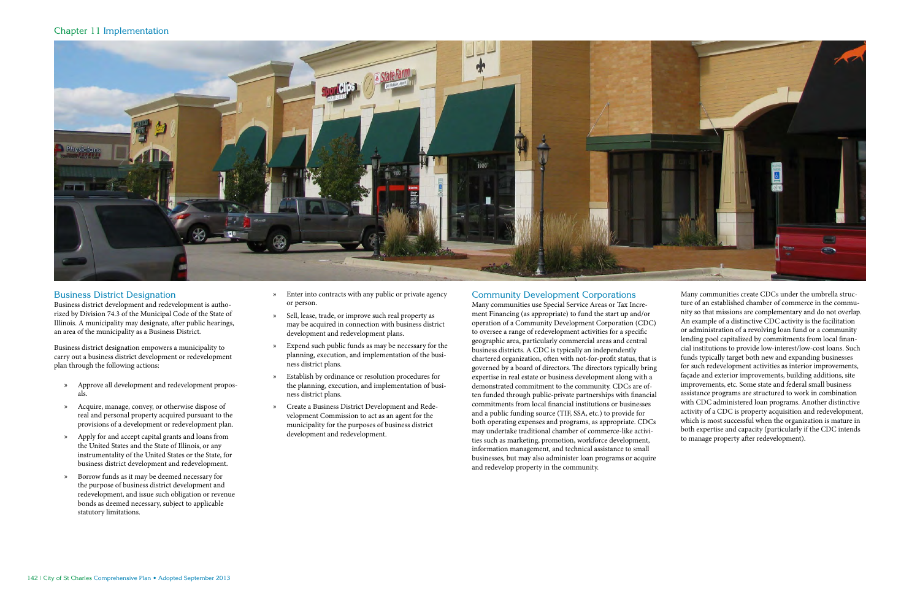#### Business District Designation

Business district development and redevelopment is authorized by Division 74.3 of the Municipal Code of the State of Illinois. A municipality may designate, after public hearings, an area of the municipality as a Business District.

Business district designation empowers a municipality to carry out a business district development or redevelopment plan through the following actions:

- » Approve all development and redevelopment proposals.
- » Acquire, manage, convey, or otherwise dispose of real and personal property acquired pursuant to the provisions of a development or redevelopment plan.
- » Apply for and accept capital grants and loans from the United States and the State of Illinois, or any instrumentality of the United States or the State, for business district development and redevelopment.
- » Borrow funds as it may be deemed necessary for the purpose of business district development and redevelopment, and issue such obligation or revenue bonds as deemed necessary, subject to applicable statutory limitations.
- » Enter into contracts with any public or private agency or person.
- » Sell, lease, trade, or improve such real property as may be acquired in connection with business district development and redevelopment plans.
- » Expend such public funds as may be necessary for the planning, execution, and implementation of the business district plans.
- » Establish by ordinance or resolution procedures for the planning, execution, and implementation of business district plans.
- » Create a Business District Development and Redevelopment Commission to act as an agent for the municipality for the purposes of business district development and redevelopment.

#### Community Development Corporations

Many communities use Special Service Areas or Tax Increment Financing (as appropriate) to fund the start up and/or operation of a Community Development Corporation (CDC) to oversee a range of redevelopment activities for a specific geographic area, particularly commercial areas and central business districts. A CDC is typically an independently chartered organization, often with not-for-profit status, that is governed by a board of directors. The directors typically bring expertise in real estate or business development along with a demonstrated commitment to the community. CDCs are often funded through public-private partnerships with financial commitments from local financial institutions or businesses and a public funding source (TIF, SSA, etc.) to provide for both operating expenses and programs, as appropriate. CDCs may undertake traditional chamber of commerce-like activities such as marketing, promotion, workforce development, information management, and technical assistance to small businesses, but may also administer loan programs or acquire and redevelop property in the community.

Many communities create CDCs under the umbrella structure of an established chamber of commerce in the community so that missions are complementary and do not overlap. An example of a distinctive CDC activity is the facilitation or administration of a revolving loan fund or a community lending pool capitalized by commitments from local financial institutions to provide low-interest/low-cost loans. Such funds typically target both new and expanding businesses for such redevelopment activities as interior improvements, façade and exterior improvements, building additions, site improvements, etc. Some state and federal small business assistance programs are structured to work in combination with CDC administered loan programs. Another distinctive activity of a CDC is property acquisition and redevelopment, which is most successful when the organization is mature in both expertise and capacity (particularly if the CDC intends to manage property after redevelopment).

#### Chapter 11 Implementation